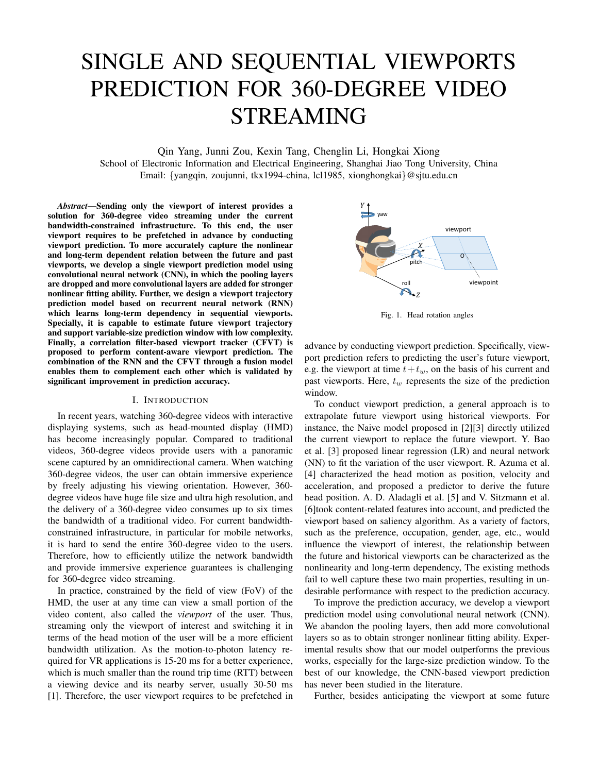# SINGLE AND SEQUENTIAL VIEWPORTS PREDICTION FOR 360-DEGREE VIDEO STREAMING

Qin Yang, Junni Zou, Kexin Tang, Chenglin Li, Hongkai Xiong

School of Electronic Information and Electrical Engineering, Shanghai Jiao Tong University, China Email: {yangqin, zoujunni, tkx1994-china, lcl1985, xionghongkai}@sjtu.edu.cn

*Abstract*—Sending only the viewport of interest provides a solution for 360-degree video streaming under the current bandwidth-constrained infrastructure. To this end, the user viewport requires to be prefetched in advance by conducting viewport prediction. To more accurately capture the nonlinear and long-term dependent relation between the future and past viewports, we develop a single viewport prediction model using convolutional neural network (CNN), in which the pooling layers are dropped and more convolutional layers are added for stronger nonlinear fitting ability. Further, we design a viewport trajectory prediction model based on recurrent neural network (RNN) which learns long-term dependency in sequential viewports. Specially, it is capable to estimate future viewport trajectory and support variable-size prediction window with low complexity. Finally, a correlation filter-based viewport tracker (CFVT) is proposed to perform content-aware viewport prediction. The combination of the RNN and the CFVT through a fusion model enables them to complement each other which is validated by significant improvement in prediction accuracy.

#### I. INTRODUCTION

In recent years, watching 360-degree videos with interactive displaying systems, such as head-mounted display (HMD) has become increasingly popular. Compared to traditional videos, 360-degree videos provide users with a panoramic scene captured by an omnidirectional camera. When watching 360-degree videos, the user can obtain immersive experience by freely adjusting his viewing orientation. However, 360 degree videos have huge file size and ultra high resolution, and the delivery of a 360-degree video consumes up to six times the bandwidth of a traditional video. For current bandwidthconstrained infrastructure, in particular for mobile networks, it is hard to send the entire 360-degree video to the users. Therefore, how to efficiently utilize the network bandwidth and provide immersive experience guarantees is challenging for 360-degree video streaming.

In practice, constrained by the field of view (FoV) of the HMD, the user at any time can view a small portion of the video content, also called the *viewport* of the user. Thus, streaming only the viewport of interest and switching it in terms of the head motion of the user will be a more efficient bandwidth utilization. As the motion-to-photon latency required for VR applications is 15-20 ms for a better experience, which is much smaller than the round trip time (RTT) between a viewing device and its nearby server, usually 30-50 ms [1]. Therefore, the user viewport requires to be prefetched in



Fig. 1. Head rotation angles

advance by conducting viewport prediction. Specifically, viewport prediction refers to predicting the user's future viewport, e.g. the viewport at time  $t+t_w$ , on the basis of his current and past viewports. Here,  $t_w$  represents the size of the prediction window.

To conduct viewport prediction, a general approach is to extrapolate future viewport using historical viewports. For instance, the Naive model proposed in [2][3] directly utilized the current viewport to replace the future viewport. Y. Bao et al. [3] proposed linear regression (LR) and neural network (NN) to fit the variation of the user viewport. R. Azuma et al. [4] characterized the head motion as position, velocity and acceleration, and proposed a predictor to derive the future head position. A. D. Aladagli et al. [5] and V. Sitzmann et al. [6]took content-related features into account, and predicted the viewport based on saliency algorithm. As a variety of factors, such as the preference, occupation, gender, age, etc., would influence the viewport of interest, the relationship between the future and historical viewports can be characterized as the nonlinearity and long-term dependency, The existing methods fail to well capture these two main properties, resulting in undesirable performance with respect to the prediction accuracy.

To improve the prediction accuracy, we develop a viewport prediction model using convolutional neural network (CNN). We abandon the pooling layers, then add more convolutional layers so as to obtain stronger nonlinear fitting ability. Experimental results show that our model outperforms the previous works, especially for the large-size prediction window. To the best of our knowledge, the CNN-based viewport prediction has never been studied in the literature.

Further, besides anticipating the viewport at some future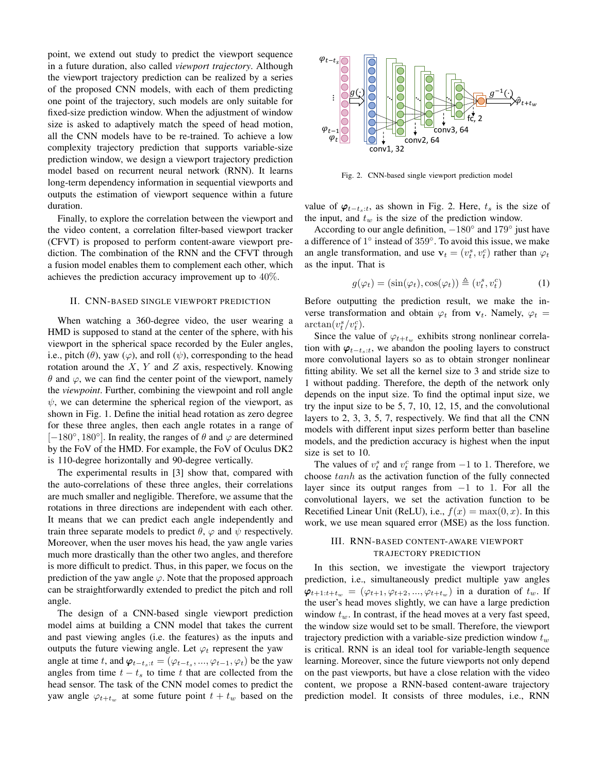point, we extend out study to predict the viewport sequence in a future duration, also called *viewport trajectory*. Although the viewport trajectory prediction can be realized by a series of the proposed CNN models, with each of them predicting one point of the trajectory, such models are only suitable for fixed-size prediction window. When the adjustment of window size is asked to adaptively match the speed of head motion, all the CNN models have to be re-trained. To achieve a low complexity trajectory prediction that supports variable-size prediction window, we design a viewport trajectory prediction model based on recurrent neural network (RNN). It learns long-term dependency information in sequential viewports and outputs the estimation of viewport sequence within a future duration.

Finally, to explore the correlation between the viewport and the video content, a correlation filter-based viewport tracker (CFVT) is proposed to perform content-aware viewport prediction. The combination of the RNN and the CFVT through a fusion model enables them to complement each other, which achieves the prediction accuracy improvement up to 40%.

#### II. CNN-BASED SINGLE VIEWPORT PREDICTION

When watching a 360-degree video, the user wearing a HMD is supposed to stand at the center of the sphere, with his viewport in the spherical space recorded by the Euler angles, i.e., pitch  $(\theta)$ , yaw  $(\varphi)$ , and roll  $(\psi)$ , corresponding to the head rotation around the  $X$ ,  $Y$  and  $Z$  axis, respectively. Knowing  $\theta$  and  $\varphi$ , we can find the center point of the viewport, namely the *viewpoint*. Further, combining the viewpoint and roll angle  $\psi$ , we can determine the spherical region of the viewport, as shown in Fig. 1. Define the initial head rotation as zero degree for these three angles, then each angle rotates in a range of [ $-180^\circ$ , 180°]. In reality, the ranges of  $\theta$  and  $\varphi$  are determined by the FoV of the HMD. For example, the FoV of Oculus DK2 is 110-degree horizontally and 90-degree vertically.

The experimental results in [3] show that, compared with the auto-correlations of these three angles, their correlations are much smaller and negligible. Therefore, we assume that the rotations in three directions are independent with each other. It means that we can predict each angle independently and train three separate models to predict  $\theta$ ,  $\varphi$  and  $\psi$  respectively. Moreover, when the user moves his head, the yaw angle varies much more drastically than the other two angles, and therefore is more difficult to predict. Thus, in this paper, we focus on the prediction of the yaw angle  $\varphi$ . Note that the proposed approach can be straightforwardly extended to predict the pitch and roll angle.

The design of a CNN-based single viewport prediction model aims at building a CNN model that takes the current and past viewing angles (i.e. the features) as the inputs and outputs the future viewing angle. Let  $\varphi_t$  represent the yaw angle at time t, and  $\varphi_{t-t_s:t} = (\varphi_{t-t_s}, ..., \varphi_{t-1}, \varphi_t)$  be the yaw angles from time  $t - t_s$  to time t that are collected from the head sensor. The task of the CNN model comes to predict the yaw angle  $\varphi_{t+t_w}$  at some future point  $t + t_w$  based on the



Fig. 2. CNN-based single viewport prediction model

value of  $\varphi_{t-t_s:t}$ , as shown in Fig. 2. Here,  $t_s$  is the size of the input, and  $t_w$  is the size of the prediction window.

According to our angle definition,  $-180^\circ$  and  $179^\circ$  just have a difference of 1° instead of 359°. To avoid this issue, we make an angle transformation, and use  $\mathbf{v}_t = (v_t^s, v_t^c)$  rather than  $\varphi_t$ as the input. That is

$$
g(\varphi_t) = (\sin(\varphi_t), \cos(\varphi_t)) \triangleq (v_t^s, v_t^c)
$$
 (1)

Before outputting the prediction result, we make the inverse transformation and obtain  $\varphi_t$  from  $\mathbf{v}_t$ . Namely,  $\varphi_t$  =  $\arctan(v_t^s/v_t^c)$ .

Since the value of  $\varphi_{t+t_w}$  exhibits strong nonlinear correlation with  $\varphi_{t-t_s:t}$ , we abandon the pooling layers to construct more convolutional layers so as to obtain stronger nonlinear fitting ability. We set all the kernel size to 3 and stride size to 1 without padding. Therefore, the depth of the network only depends on the input size. To find the optimal input size, we try the input size to be 5, 7, 10, 12, 15, and the convolutional layers to 2, 3, 3, 5, 7, respectively. We find that all the CNN models with different input sizes perform better than baseline models, and the prediction accuracy is highest when the input size is set to 10.

The values of  $v_t^s$  and  $v_t^c$  range from  $-1$  to 1. Therefore, we choose tanh as the activation function of the fully connected layer since its output ranges from −1 to 1. For all the convolutional layers, we set the activation function to be Recetified Linear Unit (ReLU), i.e.,  $f(x) = \max(0, x)$ . In this work, we use mean squared error (MSE) as the loss function.

# III. RNN-BASED CONTENT-AWARE VIEWPORT TRAJECTORY PREDICTION

In this section, we investigate the viewport trajectory prediction, i.e., simultaneously predict multiple yaw angles  $\varphi_{t+1:t+t_w} = (\varphi_{t+1}, \varphi_{t+2}, ..., \varphi_{t+t_w})$  in a duration of  $t_w$ . If the user's head moves slightly, we can have a large prediction window  $t_w$ . In contrast, if the head moves at a very fast speed, the window size would set to be small. Therefore, the viewport trajectory prediction with a variable-size prediction window  $t_w$ is critical. RNN is an ideal tool for variable-length sequence learning. Moreover, since the future viewports not only depend on the past viewports, but have a close relation with the video content, we propose a RNN-based content-aware trajectory prediction model. It consists of three modules, i.e., RNN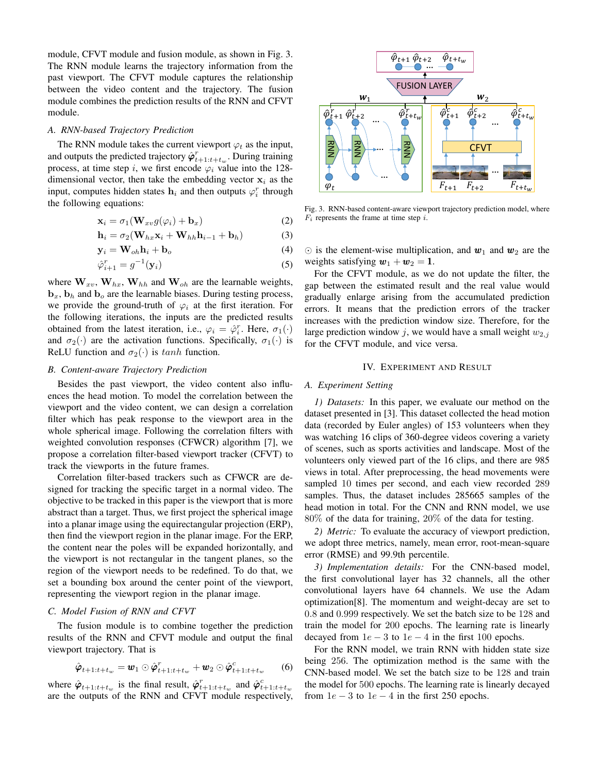module, CFVT module and fusion module, as shown in Fig. 3. The RNN module learns the trajectory information from the past viewport. The CFVT module captures the relationship between the video content and the trajectory. The fusion module combines the prediction results of the RNN and CFVT module.

#### *A. RNN-based Trajectory Prediction*

The RNN module takes the current viewport  $\varphi_t$  as the input, and outputs the predicted trajectory  $\hat{\varphi}_{t+1:t+t_w}^r$ . During training process, at time step i, we first encode  $\varphi_i$  value into the 128dimensional vector, then take the embedding vector  $x_i$  as the input, computes hidden states  $\mathbf{h}_i$  and then outputs  $\varphi_i^r$  through the following equations:

$$
\mathbf{x}_i = \sigma_1(\mathbf{W}_{xv}g(\varphi_i) + \mathbf{b}_x)
$$
 (2)

$$
\mathbf{h}_{i} = \sigma_{2}(\mathbf{W}_{hx}\mathbf{x}_{i} + \mathbf{W}_{hh}\mathbf{h}_{i-1} + \mathbf{b}_{h})
$$
 (3)

$$
\mathbf{y}_i = \mathbf{W}_{oh} \mathbf{h}_i + \mathbf{b}_o \tag{4}
$$

$$
\hat{\varphi}_{i+1}^r = g^{-1}(\mathbf{y}_i) \tag{5}
$$

where  $W_{xv}$ ,  $W_{hx}$ ,  $W_{hh}$  and  $W_{oh}$  are the learnable weights,  $\mathbf{b}_x$ ,  $\mathbf{b}_h$  and  $\mathbf{b}_o$  are the learnable biases. During testing process, we provide the ground-truth of  $\varphi_i$  at the first iteration. For the following iterations, the inputs are the predicted results obtained from the latest iteration, i.e.,  $\varphi_i = \hat{\varphi}_i^r$ . Here,  $\sigma_1(\cdot)$ and  $\sigma_2(\cdot)$  are the activation functions. Specifically,  $\sigma_1(\cdot)$  is ReLU function and  $\sigma_2(\cdot)$  is tanh function.

## *B. Content-aware Trajectory Prediction*

Besides the past viewport, the video content also influences the head motion. To model the correlation between the viewport and the video content, we can design a correlation filter which has peak response to the viewport area in the whole spherical image. Following the correlation filters with weighted convolution responses (CFWCR) algorithm [7], we propose a correlation filter-based viewport tracker (CFVT) to track the viewports in the future frames.

Correlation filter-based trackers such as CFWCR are designed for tracking the specific target in a normal video. The objective to be tracked in this paper is the viewport that is more abstract than a target. Thus, we first project the spherical image into a planar image using the equirectangular projection (ERP), then find the viewport region in the planar image. For the ERP, the content near the poles will be expanded horizontally, and the viewport is not rectangular in the tangent planes, so the region of the viewport needs to be redefined. To do that, we set a bounding box around the center point of the viewport, representing the viewport region in the planar image.

# *C. Model Fusion of RNN and CFVT*

The fusion module is to combine together the prediction results of the RNN and CFVT module and output the final viewport trajectory. That is

$$
\hat{\boldsymbol{\varphi}}_{t+1:t+t_w} = \boldsymbol{w}_1 \odot \hat{\boldsymbol{\varphi}}_{t+1:t+t_w}^r + \boldsymbol{w}_2 \odot \hat{\boldsymbol{\varphi}}_{t+1:t+t_w}^c \qquad (6)
$$

where  $\hat{\varphi}_{t+1:t+t_w}$  is the final result,  $\hat{\varphi}_{t+1:t+t_w}^r$  and  $\hat{\varphi}_{t+1:t+t_w}^c$ are the outputs of the RNN and CFVT module respectively,



Fig. 3. RNN-based content-aware viewport trajectory prediction model, where  $F_i$  represents the frame at time step  $i$ .

 $\odot$  is the element-wise multiplication, and  $w_1$  and  $w_2$  are the weights satisfying  $w_1 + w_2 = 1$ .

For the CFVT module, as we do not update the filter, the gap between the estimated result and the real value would gradually enlarge arising from the accumulated prediction errors. It means that the prediction errors of the tracker increases with the prediction window size. Therefore, for the large prediction window j, we would have a small weight  $w_{2,i}$ for the CFVT module, and vice versa.

## IV. EXPERIMENT AND RESULT

# *A. Experiment Setting*

*1) Datasets:* In this paper, we evaluate our method on the dataset presented in [3]. This dataset collected the head motion data (recorded by Euler angles) of 153 volunteers when they was watching 16 clips of 360-degree videos covering a variety of scenes, such as sports activities and landscape. Most of the volunteers only viewed part of the 16 clips, and there are 985 views in total. After preprocessing, the head movements were sampled 10 times per second, and each view recorded 289 samples. Thus, the dataset includes 285665 samples of the head motion in total. For the CNN and RNN model, we use 80% of the data for training, 20% of the data for testing.

*2) Metric:* To evaluate the accuracy of viewport prediction, we adopt three metrics, namely, mean error, root-mean-square error (RMSE) and 99.9th percentile.

*3) Implementation details:* For the CNN-based model, the first convolutional layer has 32 channels, all the other convolutional layers have 64 channels. We use the Adam optimization[8]. The momentum and weight-decay are set to 0.8 and 0.999 respectively. We set the batch size to be 128 and train the model for 200 epochs. The learning rate is linearly decayed from  $1e - 3$  to  $1e - 4$  in the first 100 epochs.

For the RNN model, we train RNN with hidden state size being 256. The optimization method is the same with the CNN-based model. We set the batch size to be 128 and train the model for 500 epochs. The learning rate is linearly decayed from  $1e - 3$  to  $1e - 4$  in the first 250 epochs.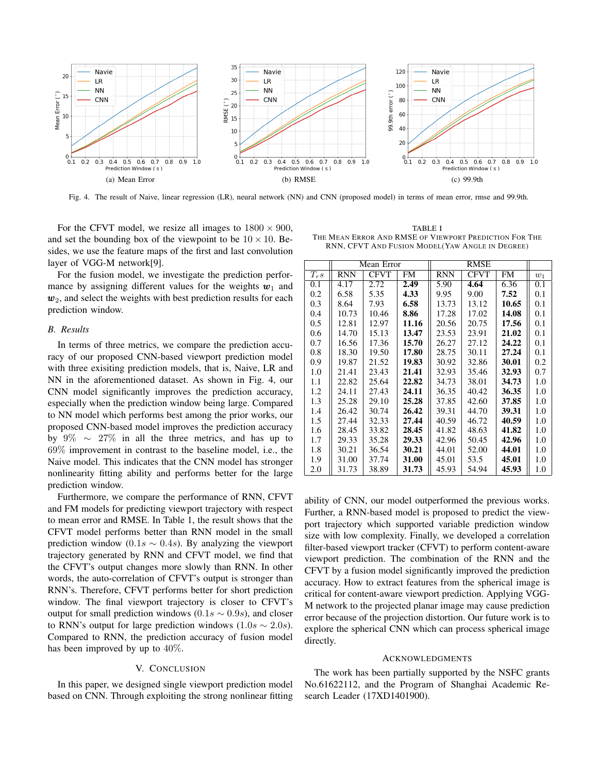

Fig. 4. The result of Naive, linear regression (LR), neural network (NN) and CNN (proposed model) in terms of mean error, rmse and 99.9th.

For the CFVT model, we resize all images to  $1800 \times 900$ , and set the bounding box of the viewpoint to be  $10 \times 10$ . Besides, we use the feature maps of the first and last convolution layer of VGG-M network[9].

For the fusion model, we investigate the prediction performance by assigning different values for the weights  $w_1$  and  $w_2$ , and select the weights with best prediction results for each prediction window.

#### *B. Results*

In terms of three metrics, we compare the prediction accuracy of our proposed CNN-based viewport prediction model with three exisiting prediction models, that is, Naive, LR and NN in the aforementioned dataset. As shown in Fig. 4, our CNN model significantly improves the prediction accuracy, especially when the prediction window being large. Compared to NN model which performs best among the prior works, our proposed CNN-based model improves the prediction accuracy by 9%  $\sim$  27% in all the three metrics, and has up to 69% improvement in contrast to the baseline model, i.e., the Naive model. This indicates that the CNN model has stronger nonlinearity fitting ability and performs better for the large prediction window.

Furthermore, we compare the performance of RNN, CFVT and FM models for predicting viewport trajectory with respect to mean error and RMSE. In Table 1, the result shows that the CFVT model performs better than RNN model in the small prediction window (0.1s  $\sim$  0.4s). By analyzing the viewport trajectory generated by RNN and CFVT model, we find that the CFVT's output changes more slowly than RNN. In other words, the auto-correlation of CFVT's output is stronger than RNN's. Therefore, CFVT performs better for short prediction window. The final viewport trajectory is closer to CFVT's output for small prediction windows (0.1s  $\sim$  0.9s), and closer to RNN's output for large prediction windows  $(1.0s \sim 2.0s)$ . Compared to RNN, the prediction accuracy of fusion model has been improved by up to 40%.

#### V. CONCLUSION

In this paper, we designed single viewport prediction model based on CNN. Through exploiting the strong nonlinear fitting

TABLE I THE MEAN ERROR AND RMSE OF VIEWPORT PREDICTION FOR THE RNN, CFVT AND FUSION MODEL(YAW ANGLE IN DEGREE)

|          | Mean Error |             |           | <b>RMSE</b> |       |       |       |
|----------|------------|-------------|-----------|-------------|-------|-------|-------|
| $T_{r}s$ | RNN        | <b>CFVT</b> | <b>FM</b> | <b>RNN</b>  | CFVT  | FM    | $w_1$ |
| 0.1      | 4.17       | 2.72        | 2.49      | 5.90        | 4.64  | 6.36  | 0.1   |
| 0.2      | 6.58       | 5.35        | 4.33      | 9.95        | 9.00  | 7.52  | 0.1   |
| 0.3      | 8.64       | 7.93        | 6.58      | 13.73       | 13.12 | 10.65 | 0.1   |
| 0.4      | 10.73      | 10.46       | 8.86      | 17.28       | 17.02 | 14.08 | 0.1   |
| 0.5      | 12.81      | 12.97       | 11.16     | 20.56       | 20.75 | 17.56 | 0.1   |
| 0.6      | 14.70      | 15.13       | 13.47     | 23.53       | 23.91 | 21.02 | 0.1   |
| 0.7      | 16.56      | 17.36       | 15.70     | 26.27       | 27.12 | 24.22 | 0.1   |
| 0.8      | 18.30      | 19.50       | 17.80     | 28.75       | 30.11 | 27.24 | 0.1   |
| 0.9      | 19.87      | 21.52       | 19.83     | 30.92       | 32.86 | 30.01 | 0.2   |
| 1.0      | 21.41      | 23.43       | 21.41     | 32.93       | 35.46 | 32.93 | 0.7   |
| 1.1      | 22.82      | 25.64       | 22.82     | 34.73       | 38.01 | 34.73 | 1.0   |
| 1.2      | 24.11      | 27.43       | 24.11     | 36.35       | 40.42 | 36.35 | 1.0   |
| 1.3      | 25.28      | 29.10       | 25.28     | 37.85       | 42.60 | 37.85 | 1.0   |
| 1.4      | 26.42      | 30.74       | 26.42     | 39.31       | 44.70 | 39.31 | 1.0   |
| 1.5      | 27.44      | 32.33       | 27.44     | 40.59       | 46.72 | 40.59 | 1.0   |
| 1.6      | 28.45      | 33.82       | 28.45     | 41.82       | 48.63 | 41.82 | 1.0   |
| 1.7      | 29.33      | 35.28       | 29.33     | 42.96       | 50.45 | 42.96 | 1.0   |
| 1.8      | 30.21      | 36.54       | 30.21     | 44.01       | 52.00 | 44.01 | 1.0   |
| 1.9      | 31.00      | 37.74       | 31.00     | 45.01       | 53.5  | 45.01 | 1.0   |
| 2.0      | 31.73      | 38.89       | 31.73     | 45.93       | 54.94 | 45.93 | 1.0   |

ability of CNN, our model outperformed the previous works. Further, a RNN-based model is proposed to predict the viewport trajectory which supported variable prediction window size with low complexity. Finally, we developed a correlation filter-based viewport tracker (CFVT) to perform content-aware viewport prediction. The combination of the RNN and the CFVT by a fusion model significantly improved the prediction accuracy. How to extract features from the spherical image is critical for content-aware viewport prediction. Applying VGG-M network to the projected planar image may cause prediction error because of the projection distortion. Our future work is to explore the spherical CNN which can process spherical image directly.

#### ACKNOWLEDGMENTS

The work has been partially supported by the NSFC grants No.61622112, and the Program of Shanghai Academic Research Leader (17XD1401900).